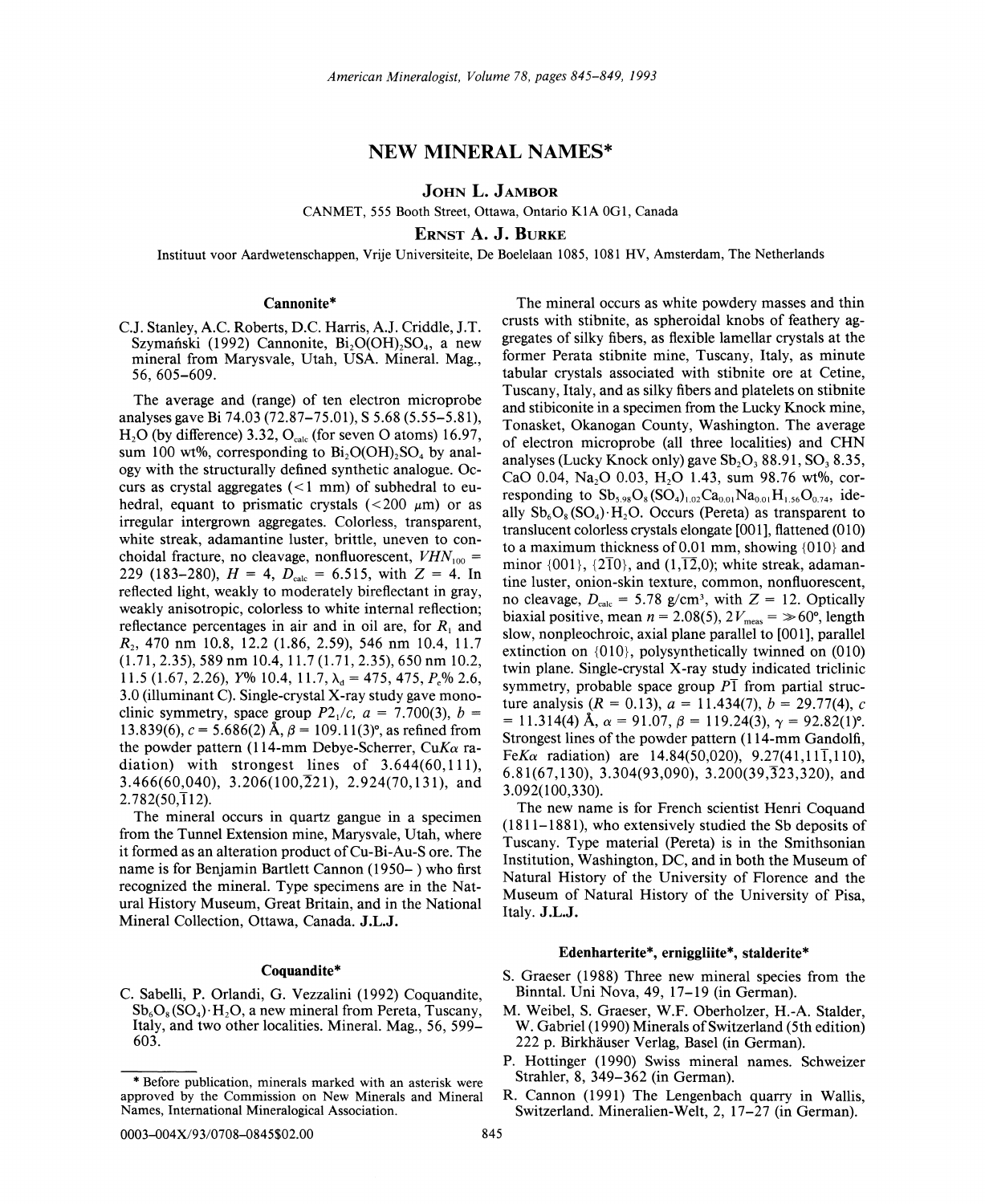# NEW MINERAL NAMES\*

JOHN L. JAMBOR

CANMET, 555 Booth Street, Ottawa, Ontario K1A 0G1, Canada

ERNST A. J. BURKE

Instituut voor Aardwetenschappen, Vrije Universiteite, De Boelelaan 1085, 1081 HV, Amsterdam, The Netherlands

## Cannonite\*

C.J. Stanley, A.C. Roberts, D.C. Harris, A.J. Criddle, J.T. Szymański (1992) Cannonite,  $Bi_2O(OH)$ , SO<sub>4</sub>, a new mineral from Marysvale, Utah, USA. MIneral. Mag., 56, 605-609.

The average and (range) of ten electron microprobe analyses gave Bi 74.03 (72.87-75.01), S 5.68 (5.55-5.81),  $H<sub>2</sub>O$  (by difference) 3.32,  $O<sub>calc</sub>$  (for seven O atoms) 16.97, sum 100 wt%, corresponding to  $Bi<sub>2</sub>O(OH)<sub>2</sub>SO<sub>4</sub>$  by analogy with the structurally defined synthetic analogue. Occurs as crystal aggregates  $(< 1$  mm) of subhedral to euhedral, equant to prismatic crystals  $(<200 \mu m$  or as irregular intergrown aggregates. Colorless, transparent, white streak, adamantine luster, brittle, uneven to conchoidal fracture, no cleavage, nonfluorescent,  $VHN<sub>100</sub>$  = 229 (183-280),  $H = 4$ ,  $D_{\text{calc}} = 6.515$ , with  $Z = 4$ . In reflected light, weakly to moderately bireflectant in gray, weakly anisotropic, colorless to white internal reflection; reflectance percentages in air and in oil are, for  $R_1$  and *R*<sub>2</sub>, 470 nm 10.8, 12.2 (1.86, 2.59), 546 nm 10.4, 11.7  $(1.71, 2.35), 589$  nm 10.4, 11.7  $(1.71, 2.35), 650$  nm 10.2, 11.5 (1.67, 2.26),  $Y\%$  10.4, 11.7,  $\lambda_d = 475$ ,  $475$ ,  $P_e\%$  2.6, 3.0 (illuminant C). Single-crystal X-ray study gave monoclinic symmetry, space group  $P2<sub>1</sub>/c$ ,  $a = 7.700(3)$ ,  $b =$ 13.839(6),  $c = 5.686(2)$  Å,  $\beta = 109.11(3)$ °, as refined from the powder pattern (114-mm Debye-Scherrer, *CuKa* radiation) with strongest lines of 3.644(60,111), 3.466(60,040), 3.206(100, $\overline{2}21$ ), 2.924(70,131), and  $2.782(50,\overline{1}12)$ .

The mineral occurs in quartz gangue in a specimen from the Tunnel Extension mine, Marysvale, Utah, where it formed as an alteration product of Cu-Bi-Au-S ore. The name is for Benjamin Bartlett Cannon (1950- ) who first recognized the mineral. Type specimens are in the Natural History Museum, Great Britain, and in the National Mineral Collection, Ottawa, Canada. J.L.J.

### Coquandite\*

C. Sabelli, P. Orlandi, G. Vezzalini (1992) Coquandite,  $Sb_6O_8(SO_4)$ . H<sub>2</sub>O, a new mineral from Pereta, Tuscany, Italy, and two other localities. Mineral. Mag., 56, 599- 603.

The mineral occurs as white powdery masses and thin crusts with stibnite, as spheroidal knobs of feathery aggregates of silky fibers, as flexible lamellar crystals at the former Perata stibnite mine, Tuscany, Italy, as minute tabular crystals associated with stibnite ore at Cetine, Tuscany, Italy, and as silky fibers and platelets on stibnite and stibiconite in a specimen from the Lucky Knock mine, Tonasket, Okanogan County, Washington. The average of electron microprobe (all three localities) and CHN analyses (Lucky Knock only) gave  $Sb_2O_3 88.91$ ,  $SO_3 8.35$ , CaO 0.04, Na<sub>2</sub>O 0.03, H<sub>2</sub>O 1.43, sum 98.76 wt%, corresponding to  $Sb_{5.98}O_8(SO_4)_{1.02}Ca_{0.01}Na_{0.01}H_{1.56}O_{0.74}$ , ideally  $Sb_6O_8(SO_4) \cdot H_2O$ . Occurs (Pereta) as transparent to translucent colorless crystals elongate [001], flattened (010) to a maximum thickness of 0.01 mm, showing {010} and minor  $\{001\}$ ,  $\{2\overline{1}0\}$ , and  $(1,\overline{12},0)$ ; white streak, adamantine luster, onion-skin texture, common, nonfluorescent, no cleavage,  $D_{\text{calc}} = 5.78$  g/cm<sup>3</sup>, with  $Z = 12$ . Optically biaxial positive, mean  $n = 2.08(5)$ ,  $2V_{\text{meas}} = \gg 60^{\circ}$ , length slow, nonpleochroic, axial plane parallel to [001], parallel extinction on  ${010}$ , polysynthetically twinned on  $(010)$ twin plane. Single-crystal X-ray study indicated triclinic symmetry, probable space group  $P\bar{1}$  from partial structure analysis  $(R = 0.13)$ ,  $a = 11.434(7)$ ,  $b = 29.77(4)$ , c  $= 11.314(4)$  Å,  $\alpha = 91.07$ ,  $\beta = 119.24(3)$ ,  $\gamma = 92.82(1)$ °. Strongest lines of the powder pattern (114-mm Gandolfi,  $FeK\alpha$  radiation) are 14.84(50,020), 9.27(41,111,110), 6.81(67,130), 3.304(93,090), 3.200(39,  $\overline{3}$ 23, 320), and 3.092( 100,330).

The new name is for French scientist Henri Coquand (1811-1881), who extensively studied the Sb deposits of Tuscany. Type material (Pereta) is in the Smithsonian Institution, Washington, DC, and in both the Museum of Natural History of the University of Florence and the Museum of Natural History of the University of Pisa, Italy. J.L.J.

### Edenharterite\*, erniggliite\*, stalderite\*

- S. Graeser (1988) Three new mineral species from the Binntal. Uni Nova, 49,17-19 (in German).
- M. Weibel, S. Graeser, W.F. Oberholzer, H.-A. Stalder, W. Gabriel (1990) Minerals of Switzerland (5th edition) 222 p. Birkhauser Verlag, Basel (in German).
- P. Hottinger (1990) Swiss mineral names. Schweizer Strahler, 8, 349-362 (in German).
- R. Cannon (1991) The Lengenbach quarry in Wallis, Switzerland. Mineralien-Welt, 2, 17-27 (in German).

<sup>\*</sup> Before publication, minerals marked with an asterisk were approved by the Commission on New Minerals and Mineral Names, International Mineralogical Association.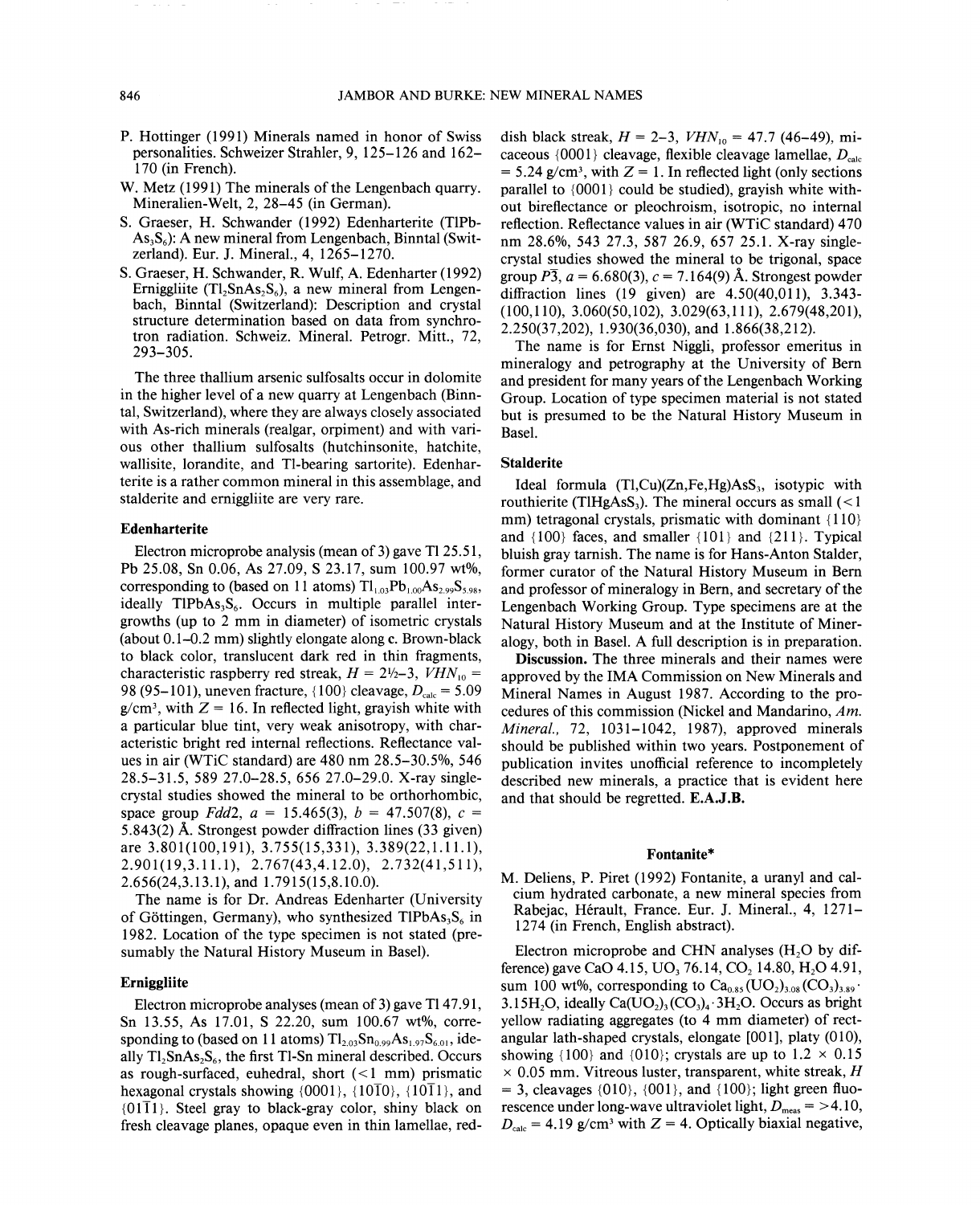- P. Hottinger (1991) Minerals named in honor of Swiss personalities. Schweizer Strahler, 9, 125-126 and 162- 170 (in French).
- W. Metz (1991) The minerals of the Lengenbach quarry. Mineralien-Welt, 2, 28-45 (in German).
- S. Graeser, H. Schwander (1992) Edenharterite (TIPb- $As<sub>3</sub>S<sub>6</sub>$ ): A new mineral from Lengenbach, Binntal (Switzerland). Eur. J. Mineral., 4, 1265-1270.
- S. Graeser, H. Schwander, R. Wulf, A. Edenharter (1992) Erniggliite (Tl,  $SnAs_2S_6$ ), a new mineral from Lengenbach, Binntal (Switzerland): Description and crystal structure determination based on data from synchrotron radiation. Schweiz. Mineral. Petrogr. Mitt., 72, 293-305.

The three thallium arsenic sulfosalts occur in dolomite in the higher level of a new quarry at Lengenbach (Binntal, Switzerland), where they are always closely associated with As-rich minerals (realgar, orpiment) and with various other thallium sulfosalts (hutchinsonite, hatchite, wallisite, lorandite, and Tl-bearing sartorite). Edenharterite is a rather common mineral in this assemblage, and stalderite and erniggliite are very rare.

### Edenharterite

Electron microprobe analysis (mean of 3) gave TI25.51, Pb 25.08, Sn 0.06, As 27.09, S 23.17, sum 100.97 wt%, corresponding to (based on 11 atoms)  $Tl_{1,03}Pb_{1,00}As_{2,99}S_{5,98}$ , ideally TIPbAs<sub>3</sub>S<sub>6</sub>. Occurs in multiple parallel intergrowths (up to 2 mm in diameter) of isometric crystals (about 0.1-0.2 mm) slightly elongate along c. Brown-black to black color, translucent dark red in thin fragments, characteristic raspberry red streak,  $H = 2\frac{1}{2} - 3$ ,  $VHN_{10} =$ 98 (95-101), uneven fracture,  $\{100\}$  cleavage,  $D_{\text{calc}} = 5.09$  $g/cm<sup>3</sup>$ , with  $Z = 16$ . In reflected light, gravish white with a particular blue tint, very weak anisotropy, with characteristic bright red internal reflections. Reflectance values in air (WTiC standard) are 480 nm 28.5-30.5%, 546 28.5-31.5, 589 27.0-28.5, 656 27.0-29.0. X-ray singlecrystal studies showed the mineral to be orthorhombic, space group *Fdd2*,  $a = 15.465(3)$ ,  $b = 47.507(8)$ ,  $c =$ 5.843(2) A. Strongest powder diffraction lines (33 given) are 3.801(100,191), 3.755(15,331), 3.389(22,1.11.1), 2.901(19,3.11.1), 2.767(43,4.12.0), 2.732(41,511), 2.656(24,3.13.1), and 1.7915(15,8.10.0).

The name is for Dr. Andreas Edenharter (University of Göttingen, Germany), who synthesized TIPbAs<sub>3</sub>S<sub>6</sub> in 1982. Location of the type specimen is not stated (presumably the Natural History Museum in Basel).

### Erniggliite

Electron microprobe analyses (mean of 3) gave Tl 47.91, Sn 13.55, As 17.01, S 22.20, sum 100.67 wt%, corresponding to (based on 11 atoms)  $Tl_{2.03}Sn_{0.99}As_{1.97}S_{6.01}$ , ideally  $Tl_2SnAs_2S_6$ , the first Tl-Sn mineral described. Occurs as rough-surfaced, euhedral, short  $(< 1$  mm) prismatic hexagonal crystals showing  $\{0001\}$ ,  $\{10\overline{1}0\}$ ,  $\{10\overline{1}1\}$ , and  ${01\overline{11}}$ . Steel gray to black-gray color, shiny black on fresh cleavage planes, opaque even in thin lamellae, reddish black streak,  $H = 2-3$ ,  $VHN_{10} = 47.7$  (46-49), micaceous {0001} cleavage, flexible cleavage lamellae,  $D_{\text{calc}}$  $= 5.24$  g/cm<sup>3</sup>, with  $Z = 1$ . In reflected light (only sections parallel to {0001} could be studied), grayish white without bireflectance or pleochroism, isotropic, no internal reflection. Reflectance values in air (WTiC standard) 470 nm 28.6%, 543 27.3, 587 26.9, 657 25.1. X-ray singlecrystal studies showed the mineral to be trigonal, space group  $\overline{P3}$ ,  $a = 6.680(3)$ ,  $c = 7.164(9)$  Å. Strongest powder diffraction lines (19 given) are 4.50(40,011), 3.343- (100,110), 3.060(50,102), 3.029(63,111), 2.679(48,201), 2.250(37,202), 1.930(36,030), and 1.866(38,212).

The name is for Ernst Niggli, professor emeritus in mineralogy and petrography at the University of Bern and president for many years of the Lengenbach Working Group. Location of type specimen material is not stated but is presumed to be the Natural History Museum in Basel.

## **Stalderite**

Ideal formula  $(Tl, Cu)(Zn, Fe, Hg)AsS<sub>3</sub>$ , isotypic with routhierite (TIHgAsS<sub>3</sub>). The mineral occurs as small  $\left($  < 1 mm) tetragonal crystals, prismatic with dominant {110} and  ${100}$  faces, and smaller  ${101}$  and  ${211}$ . Typical bluish gray tarnish. The name is for Hans-Anton Stalder, former curator of the Natural History Museum in Bern and professor of mineralogy in Bern, and secretary of the Lengenbach Working Group. Type specimens are at the Natural History Museum and at the Institute of Mineralogy, both in Basel. A full description is in preparation.

Discussion. The three minerals and their names were approved by the IMA Commission on New Minerals and Mineral Names in August 1987. According to the procedures of this commission (Nickel and Mandarino, *Am. Mineral.,* 72, 1031-1042, 1987), approved minerals should be published within two years. Postponement of publication invites unofficial reference to incompletely described new minerals, a practice that is evident here and that should be regretted. E.A.J.B.

### Fontanite\*

M. Deliens, P. Piret (1992) Fontanite, a uranyl and calcium hydrated carbonate, a new mineral species from Rabejac, Herault, France. Eur. J. Mineral., 4, 1271- 1274 (in French, English abstract).

Electron microprobe and CHN analyses  $(H<sub>2</sub>O)$  by difference) gave CaO 4.15, UO<sub>3</sub> 76.14, CO<sub>2</sub> 14.80, H<sub>2</sub>O 4.91, sum 100 wt%, corresponding to  $Ca_{0.85}(UO_2)_{3.08}(CO_3)_{3.89}$ . 3.15H<sub>2</sub>O, ideally Ca(UO<sub>2</sub>)<sub>3</sub>(CO<sub>3</sub>)<sub>4</sub> $\cdot$ 3H<sub>2</sub>O. Occurs as bright yellow radiating aggregates (to 4 mm diameter) of rectangular lath-shaped crystals, elongate [001], platy (010), showing {100} and {010}; crystals are up to  $1.2 \times 0.15$ x 0.05 mm. Vitreous luster, transparent, white streak, *H*  $= 3$ , cleavages {010}, {001}, and {100}; light green fluorescence under long-wave ultraviolet light,  $D_{\text{meas}} = 54.10$ ,  $D_{\text{calc}} = 4.19$  g/cm<sup>3</sup> with Z = 4. Optically biaxial negative,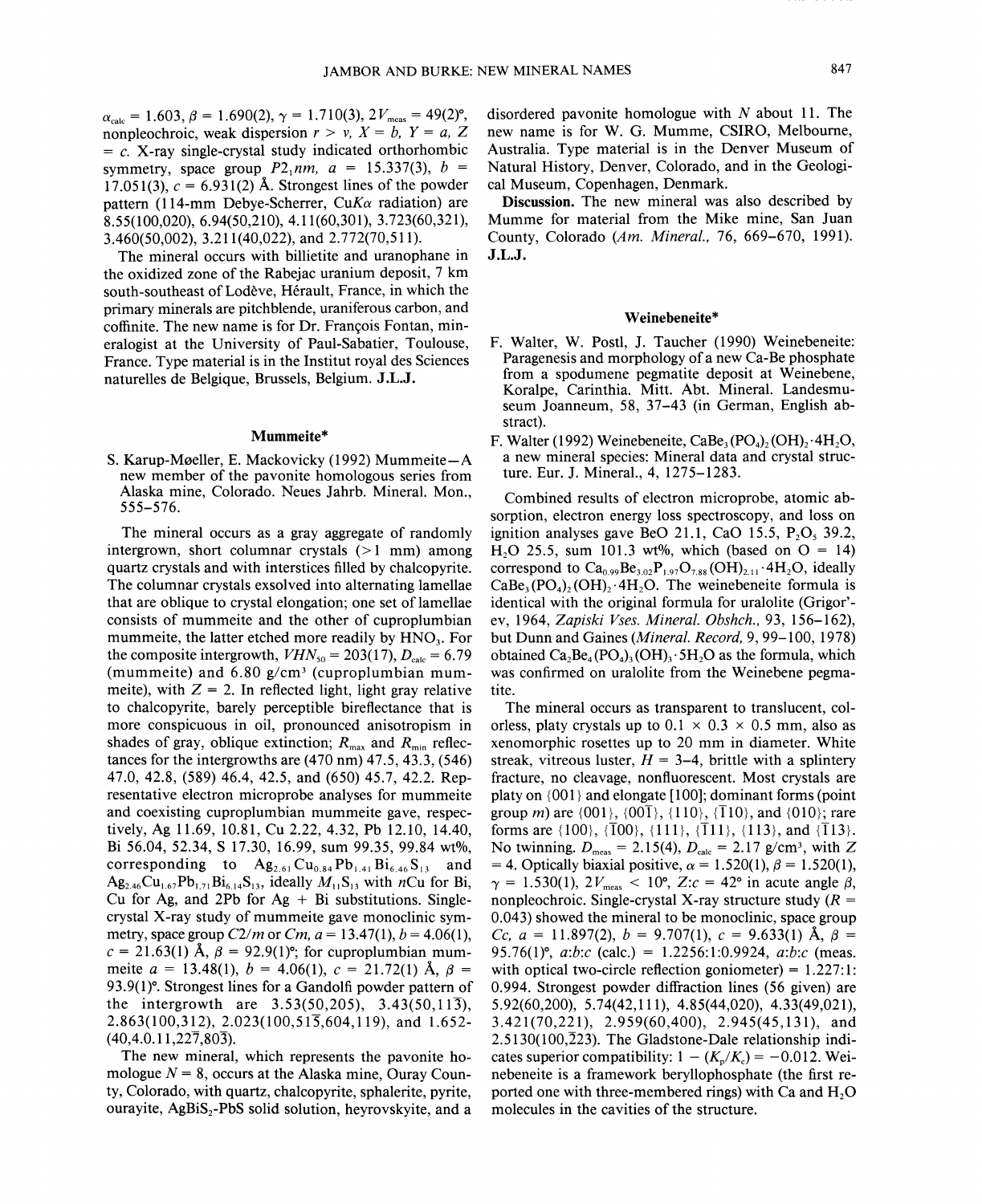$\alpha_{\text{calc}} = 1.603, \beta = 1.690(2), \gamma = 1.710(3), 2V_{\text{meas}} = 49(2)$ °, nonpleochroic, weak dispersion  $r > v$ ,  $X = b$ ,  $Y = a$ , Z  $= c$ . X-ray single-crystal study indicated orthorhombic symmetry, space group  $P2_1nm$ ,  $a = 15.337(3)$ ,  $b =$ 17.051(3),  $c = 6.931(2)$  Å. Strongest lines of the powder pattern (114-mm Debye-Scherrer, *CuKa* radiation) are 8.55(100,020), 6.94(50,210), 4.11(60,301), 3.723(60,321), 3.460(50,002), 3.211 (40,022), and 2.772(70,511).

The mineral occurs with billietite and uranophane in the oxidized zone of the Rabejac uranium deposit, 7 km south-southeast of Lodeve, Herault, France, in which the primary minerals are pitchblende, uraniferous carbon, and coffinite. The new name is for Dr. François Fontan, mineralogist at the University of Paul-Sabatier, Toulouse, France. Type material is in the Institut royal des Sciences naturelles de Belgique, Brussels, Belgium. J.L.J.

### Mummeite\*

S. Karup-M0eller, E. Mackovicky (1992) Mummeite-A new member of the pavonite homologous series from Alaska mine, Colorado. Neues Jahrb. Mineral. Mon., 555-576.

The mineral occurs as a gray aggregate of randomly intergrown, short columnar crystals  $(>1$  mm) among quartz crystals and with interstices filled by chalcopyrite. The columnar crystals ex solved into alternating lamellae that are oblique to crystal elongation; one set of lamellae consists of mummeite and the other of cuproplumbian mummeite, the latter etched more readily by  $HNO<sub>3</sub>$ . For the composite intergrowth,  $VHN_{50} = 203(17)$ ,  $D_{\text{calc}} = 6.79$ (mummeite) and  $6.80$  g/cm<sup>3</sup> (cuproplumbian mummeite), with  $Z = 2$ . In reflected light, light gray relative to chalcopyrite, barely perceptible bireflectance that is more conspicuous in oil, pronounced anisotropism in shades of gray, oblique extinction;  $R_{\text{max}}$  and  $R_{\text{min}}$  reflectances for the intergrowths are  $(470 \text{ nm})$   $47.5$ ,  $43.3$ ,  $(546)$ 47.0, 42.8, (589) 46.4, 42.5, and (650) 45.7, 42.2. Representative electron microprobe analyses for mummeite and coexisting cuproplumbian mummeite gave, respectively, Ag 11.69,10.81, Cu 2.22,4.32, Pb 12.10,14.40, Bi 56.04, 52.34, S 17.30, 16.99, sum 99.35, 99.84 *wt*%, corresponding to  $\mathbf{Ag}_{2.61}\text{Cu}_{0.84}\text{Pb}_{1.41}\text{Bi}_{6.46}\text{S}_{13}$  and  $Ag_{2.46}Cu_{1.67}Pb_{1.71}Bi_{6.14}S_{13}$ , ideally  $M_{11}S_{13}$  with *n*Cu for Bi, Cu for Ag, and 2Pb for  $Ag + Bi$  substitutions. Singlecrystal X-ray study of mummeite gave monoclinic symmetry, space group  $C2/m$  or  $Cm$ ,  $a = 13.47(1)$ ,  $b = 4.06(1)$ ,  $c = 21.63(1)$  Å,  $\beta = 92.9(1)$ °; for cuproplumbian mummeite  $a = 13.48(1)$ ,  $b = 4.06(1)$ ,  $c = 21.72(1)$  Å,  $\beta =$ 93.9(1)<sup>o</sup>. Strongest lines for a Gandolfi powder pattern of the intergrowth are  $3.53(50,205)$ ,  $3.43(50,11\overline{3})$ , 2.863(100,312),2.023(100,515,604,119), and 1.652-  $(40, 4.0.11, 227, 803)$ .

The new mineral, which represents the pavonite homologue  $N = 8$ , occurs at the Alaska mine, Ouray County, Colorado, with quartz, chalcopyrite, sphalerite, pyrite, ourayite,  $AgBiS<sub>2</sub>-PbS$  solid solution, heyrovskyite, and a disordered pavonite homologue with *N* about 11. The new name is for W. G. Mumme, CSIRO, Melbourne, Australia. Type material is in the Denver Museum of Natural History, Denver, Colorado, and in the Geological Museum, Copenhagen, Denmark.

Discussion. The new mineral was also described by Mumme for material from the Mike mine, San Juan County, Colorado *(Am. Mineral.,* 76, 669-670, 1991). J.L.J.

#### Weinebeneite\*

- F. Walter, W. Post!, J. Taucher (1990) Weinebeneite: Paragenesis and morphology of a new Ca-Be phosphate from a spodumene pegmatite deposit at Weinebene, Koralpe, Carinthia. Mitt. Abt. Mineral. Landesmuseum Joanneum, 58, 37-43 (in German, English abstract).
- F. Walter (1992) Weinebeneite, CaBe<sub>3</sub>(PO<sub>4</sub>)<sub>2</sub>(OH)<sub>2</sub>.4H<sub>2</sub>O, a new mineral species: Mineral data and crystal structure. Eur. J. Mineral., 4, 1275-1283.

Combined results of electron microprobe, atomic absorption, electron energy loss spectroscopy, and loss on ignition analyses gave BeO 21.1, CaO 15.5,  $P_2O_5$  39.2, H<sub>2</sub>O 25.5, sum 101.3 wt%, which (based on  $O = 14$ ) correspond to  $Ca_{0.99}Be_{3.02}P_{1.97}O_{7.88}(OH)_{2.11}.4H_{2}O$ , ideally  $CaBe<sub>3</sub>(PO<sub>4</sub>),(OH)<sub>2</sub>·4H<sub>2</sub>O$ . The weinebeneite formula is identical with the original formula for uralolite (Grigor' ev, 1964, *Zapiski Vses. Mineral. Obshch.,* 93, 156-162), but Dunn and Gaines *(Mineral. Record,* 9, 99-100, 1978) obtained  $Ca_3Be_4(PO_4)_3(OH)_3.5H_3O$  as the formula, which was confirmed on uralolite from the Weinebene pegmatite.

The mineral occurs as transparent to translucent, colorless, platy crystals up to  $0.1 \times 0.3 \times 0.5$  mm, also as xenomorphic rosettes up to 20 mm in diameter. White streak, vitreous luster,  $H = 3-4$ , brittle with a splintery fracture, no cleavage, nonfluorescent. Most crystals are platy on {001} and elongate [100]; dominant forms (point group *m)* are {001}, {001}, *{lID},* {110}, and {010}; rare forms are  $\{100\}$ ,  $\{\overline{1}00\}$ ,  $\{111\}$ ,  $\{\overline{1}11\}$ ,  $\{113\}$ , and  $\{\overline{1}13\}$ . No twinning.  $D_{\text{meas}} = 2.15(4)$ ,  $D_{\text{calc}} = 2.17$  g/cm<sup>3</sup>, with Z = 4. Optically biaxial positive,  $\alpha = 1.520(1)$ ,  $\beta = 1.520(1)$ ,  $\gamma = 1.530(1), 2V_{\text{meas}} < 10^{\circ}, Z:c = 42^{\circ}$  in acute angle  $\beta$ , nonpleochroic. Single-crystal X-ray structure study *(R =* 0.043) showed the mineral to be monoclinic, space group *Cc,*  $a = 11.897(2)$ ,  $b = 9.707(1)$ ,  $c = 9.633(1)$  Å,  $\beta =$ 95.76(1)<sup>o</sup>, *a:b:c* (calc.) = 1.2256:1:0.9924, *a:b:c* (meas. with optical two-circle reflection goniometer) =  $1.227:1$ : 0.994. Strongest powder diffraction lines (56 given) are 5.92(60,200), 5.74(42,111), 4.85(44,020), 4.33(49,021), 3.421(70,221), 2.959(60,400), 2.945(45,131), and  $2.5130(100,223)$ . The Gladstone-Dale relationship indicates superior compatibility:  $1 - (K_p/K_c) = -0.012$ . Weinebeneite is a framework beryllophosphate (the first reported one with three-membered rings) with  $Ca$  and  $H<sub>2</sub>O$ molecules in the cavities of the structure.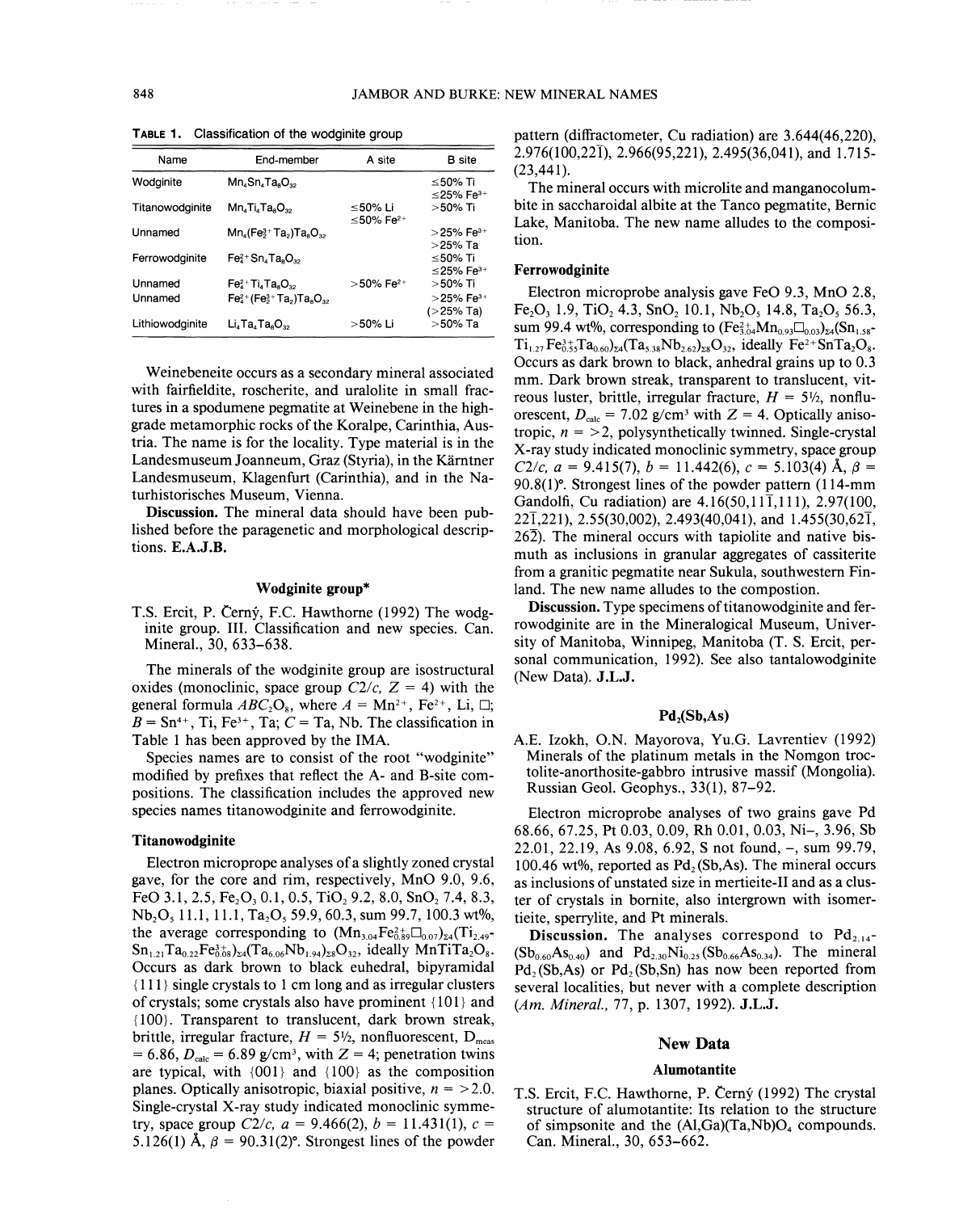| Name               | End-member                                                       | A site                           | <b>B</b> site                          |
|--------------------|------------------------------------------------------------------|----------------------------------|----------------------------------------|
| Wodginite          | $Mn_4Sn_4Ta_8O_{32}$                                             |                                  | ≤50% Ti<br>$\leq$ 25% Fe $^{3+}$       |
| Titanowodginite    | $Mn_4Ti_4Ta_8O_{32}$                                             | ≤50% Li<br>≤50% Fe <sup>2+</sup> | $>50\%$ Ti                             |
| Unnamed            | $Mn_4$ (Fe $3+$ Ta <sub>2</sub> )Ta <sub>8</sub> O <sub>32</sub> |                                  | $>$ 25% Fe <sup>3+</sup><br>$>$ 25% Ta |
| Ferrowodginite     | $Fe42+Sn4Ta8O32$                                                 |                                  | ≤50% Ti<br>≤25% Fe <sup>3+</sup>       |
| Unnamed<br>Unnamed | $Fe42+ Ti4 Ta8O32$<br>$Fe42+ (Fe3+ Ta2)Ta8O32$                   | $>$ 50% Fe <sup>2+</sup>         | >50% Ti<br>$>$ 25% Fe <sup>3+</sup>    |
| Lithiowodainite    | $Li4 Ta4 Ta8O32$                                                 | >50% Li                          | $( > 25\%$ Ta)<br>>50% Ta              |

TABLE 1. Classification of the wodginite group

Weine beneite occurs as a secondary mineral associated with fairfieldite, roscherite, and uralolite in small fractures in a spodumene pegmatite at Weinebene in the highgrade metamorphic rocks of the Koralpe, Carinthia, Austria. The name is for the locality. Type material is in the Landesmuseum Joanneum, Graz (Styria), in the Kärntner Landesmuseum, Klagenfurt (Carinthia), and in the Naturhistorisches Museum, Vienna.

Discussion. The mineral data should have been published before the paragenetic and morphological descriptions. E.A.J.B.

#### Wodginite group\*

T.S. Ercit, P. Cerny, F.C. Hawthorne (1992) The wodginite group. III. Classification and new species. Can. Mineral., 30, 633-638.

The minerals of the wodginite group are isostructural oxides (monoclinic, space group  $C2/c$ ,  $Z = 4$ ) with the general formula  $ABC_2O_8$ , where  $A = Mn^{2+}$ , Fe<sup>2+</sup>, Li,  $\square$ ;  $B = \text{Sn}^{4+}$ , Ti, Fe<sup>3+</sup>, Ta;  $C = \text{Ta}$ , Nb. The classification in Table 1 has been approved by the IMA.

Species names are to consist of the root "wodginite" modified by prefixes that reflect the A- and B-site compositions. The classification includes the approved new species names titanowodginite and ferrowodginite.

### Titanowodginite

Electron microprope analyses of a slightly zoned crystal gave, for the core and rim, respectively, MnO 9.0, 9.6, FeO 3.1, 2.5, Fe<sub>2</sub>O<sub>3</sub> 0.1, 0.5, TiO<sub>2</sub> 9.2, 8.0, SnO<sub>2</sub> 7.4, 8.3, Nb<sub>2</sub>O<sub>5</sub> 11.1, 11.1, Ta<sub>2</sub>O<sub>5</sub> 59.9, 60.3, sum 99.7, 100.3 wt%, the average corresponding to  $(Mn_{3.04}Fe_{0.89}^{2+} \Box_{0.07})_{24}$  (Ti<sub>2.49</sub>- $Sn_{1,21}Ta_{0,22}Fe_{0,08}^{3+}C_{24}(Ta_{6,06}Nb_{1,94})_{28}O_{32}$ , ideally MnTiTa<sub>2</sub>O<sub>8</sub>. Occurs as dark brown to black euhedral, bipyramidal {Ill} single crystals to 1 cm long and as irregular clusters of crystals; some crystals also have prominent  ${101}$  and {1OO}. Transparent to translucent, dark brown streak, brittle, irregular fracture,  $H = 5\frac{1}{2}$ , nonfluorescent, D<sub>meas</sub>  $= 6.86, D<sub>calc</sub> = 6.89$  g/cm<sup>3</sup>, with  $Z = 4$ ; penetration twins are typical, with {001} and {100} as the composition planes. Optically anisotropic, biaxial positive,  $n = > 2.0$ . Single-crystal X-ray study indicated monoclinic symmetry, space group  $C2/c$ ,  $a = 9.466(2)$ ,  $b = 11.431(1)$ ,  $c =$ 5.126(1)  $\AA$ ,  $\beta = 90.31(2)$ °. Strongest lines of the powde

pattern (diffractometer, Cu radiation) are 3.644(46,220), 2.976(100,221), 2.966(95,221), 2.495(36,041), and 1.715- $(23, 441)$ .

The mineral occurs with microlite and manganocolumbite in saccharoidal albite at the Tanco pegmatite, Bernic Lake, Manitoba. The new name alludes to the composition.

## Ferrowodginite

Electron microprobe analysis gave FeO 9.3, MnO 2.8,  $Fe<sub>2</sub>O<sub>3</sub> 1.9$ , TiO<sub>2</sub> 4.3, SnO<sub>2</sub> 10.1, Nb<sub>2</sub>O<sub>5</sub> 14.8, Ta<sub>2</sub>O<sub>5</sub> 56.3, sum 99.4 *wt*%, corresponding to  $(Fe_{3.04}^{2+}Mn_{0.93}\Box_{0.03})_{24}(Sn_{1.58}^{-})$  $Ti_{1.27}Fe_{0.55}^{3+}Ta_{0.60}z_4(Ta_{5.38}Nb_{2.62}z_{8}O_{32}$ , ideally Fe<sup>2+</sup>SnTa<sub>2</sub>O<sub>8</sub>. Occurs as dark brown to black, anhedral grains up to 0.3 mm. Dark brown streak, transparent to translucent, vitreous luster, brittle, irregular fracture,  $H = 5\frac{1}{2}$ , nonfluorescent,  $D_{\text{calc}} = 7.02$  g/cm<sup>3</sup> with  $Z = 4$ . Optically anisotropic,  $n = 2$ , polysynthetically twinned. Single-crystal X-ray study indicated monoclinic symmetry, space group *C2/c,*  $a = 9.415(7)$ ,  $b = 11.442(6)$ ,  $c = 5.103(4)$  Å,  $\beta =$ 90.8(1)<sup>o</sup>. Strongest lines of the powder pattern (114-mm Gandolfi, Cu radiation) are  $4.16(50, 11\overline{1}, 111)$ , 2.97(100,  $22\overline{1}$ ,221), 2.55(30,002), 2.493(40,041), and 1.455(30,62 $\overline{1}$ ,  $26\overline{2}$ ). The mineral occurs with tapiolite and native bismuth as inclusions in granular aggregates of cassiterite from a granitic pegmatite near Sukula, southwestern Finland. The new name alludes to the compostion.

Discussion. Type specimens of titanowodginite and ferrowodginite are in the Mineralogical Museum, University of Manitoba, Winnipeg, Manitoba (T. S. Ercit, personal communication, 1992). See also tantalowodginite (New Data). J.L.J.

### $Pd<sub>2</sub>(Sb, As)$

A.E. Izokh, O.N. Mayorova, Yu.G. Lavrentiev (1992) Minerals of the platinum metals in the Nomgon troctolite-anorthosite-gabbro intrusive massif (Mongolia). Russian Geol. Geophys., 33(1), 87-92.

Electron microprobe analyses of two grains gave Pd 68.66, 67.25, Pt 0.03, 0.09, Rh 0.01, 0.03, Ni-, 3.96, Sb 22.01,22.19, As 9.08,6.92, S not found, -, sum 99.79, 100.46 wt%, reported as Pd<sub>2</sub> (Sb,As). The mineral occurs as inclusions of unstated size in mertieite-II and as a cluster of crystals in bornite, also intergrown with isomertieite, sperrylite, and Pt minerals.

**Discussion.** The analyses correspond to  $Pd_{2,14}$ - $(Sb_{0.60}As_{0.40})$  and  $Pd_{2.30}Ni_{0.25}(Sb_{0.66}As_{0.34})$ . The mineral  $Pd_2(Sb, As)$  or  $Pd_2(Sb,Sn)$  has now been reported from several localities, but never with a complete description *(Am. Mineral.,* 77, p. 1307, 1992). J.L.J.

## New Data

#### Alumotantite

T.S. Ercit, F.C. Hawthorne, P. Cerny (1992) The crystal structure of alumotantite: Its relation to the structure of simpsonite and the  $(Al,Ga)(Ta,Nb)O<sub>4</sub>$  compounds. Can. Mineral., 30, 653-662.